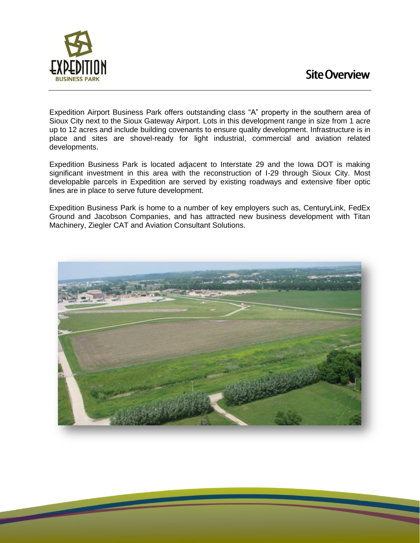

Expedition Airport Business Park offers outstanding class "A" property in the southern area of Sioux City next to the Sioux Gateway Airport. Lots in this development range in size from 1 acre up to 12 acres and include building covenants to ensure quality development. Infrastructure is in place and sites are shovel-ready for light industrial, commercial and aviation related developments.

Expedition Business Park is located adjacent to Interstate 29 and the Iowa DOT is making significant investment in this area with the reconstruction of I-29 through Sioux City. Most developable parcels in Expedition are served by existing roadways and extensive fiber optic lines are in place to serve future development.

Expedition Business Park is home to a number of key employers such as, CenturyLink, FedEx Ground and Jacobson Companies, and has attracted new business development with Titan Machinery, Ziegler CAT and Aviation Consultant Solutions.

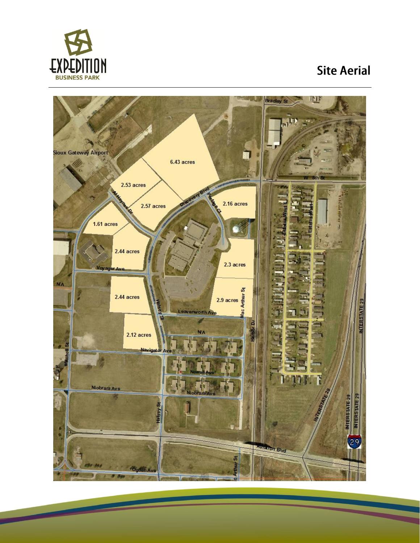

 $\overline{\phantom{a}}$ 

## **Site Aerial**

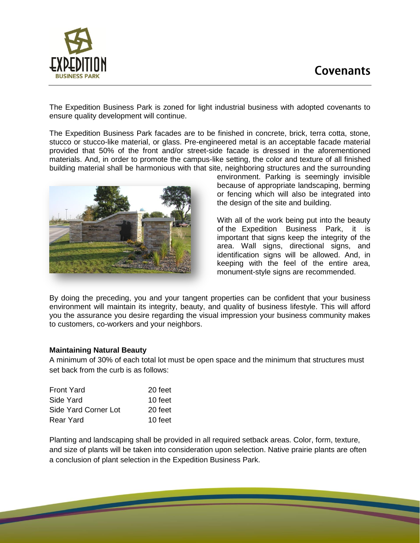## **Covenants**



The Expedition Business Park is zoned for light industrial business with adopted covenants to ensure quality development will continue.

The Expedition Business Park facades are to be finished in concrete, brick, terra cotta, stone, stucco or stucco-like material, or glass. Pre-engineered metal is an acceptable facade material provided that 50% of the front and/or street-side facade is dressed in the aforementioned materials. And, in order to promote the campus-like setting, the color and texture of all finished building material shall be harmonious with that site, neighboring structures and the surrounding



environment. Parking is seemingly invisible because of appropriate landscaping, berming or fencing which will also be integrated into the design of the site and building.

With all of the work being put into the beauty of the Expedition Business Park, it is important that signs keep the integrity of the area. Wall signs, directional signs, and identification signs will be allowed. And, in keeping with the feel of the entire area, monument-style signs are recommended.

By doing the preceding, you and your tangent properties can be confident that your business environment will maintain its integrity, beauty, and quality of business lifestyle. This will afford you the assurance you desire regarding the visual impression your business community makes to customers, co-workers and your neighbors.

#### **Maintaining Natural Beauty**

A minimum of 30% of each total lot must be open space and the minimum that structures must set back from the curb is as follows:

| <b>Front Yard</b>    | 20 feet |
|----------------------|---------|
| Side Yard            | 10 feet |
| Side Yard Corner Lot | 20 feet |
| Rear Yard            | 10 feet |

Planting and landscaping shall be provided in all required setback areas. Color, form, texture, and size of plants will be taken into consideration upon selection. Native prairie plants are often a conclusion of plant selection in the Expedition Business Park.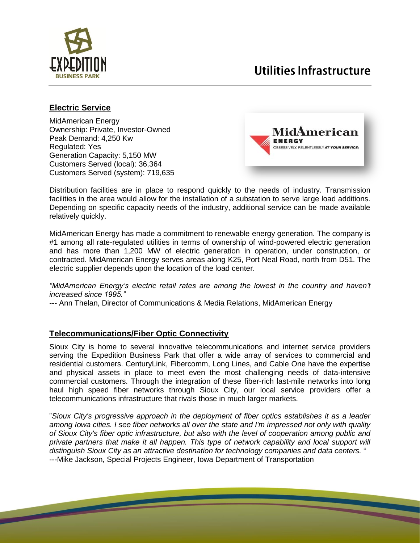

## Utilities Infrastructure

### **Electric Service**

MidAmerican Energy Ownership: Private, Investor-Owned Peak Demand: 4,250 Kw Regulated: Yes Generation Capacity: 5,150 MW Customers Served (local): 36,364 Customers Served (system): 719,635



Distribution facilities are in place to respond quickly to the needs of industry. Transmission facilities in the area would allow for the installation of a substation to serve large load additions. Depending on specific capacity needs of the industry, additional service can be made available relatively quickly.

MidAmerican Energy has made a commitment to renewable energy generation. The company is #1 among all rate-regulated utilities in terms of ownership of wind-powered electric generation and has more than 1,200 MW of electric generation in operation, under construction, or contracted. MidAmerican Energy serves areas along K25, Port Neal Road, north from D51. The electric supplier depends upon the location of the load center.

*"MidAmerican Energy's electric retail rates are among the lowest in the country and haven't increased since 1995."*

--- Ann Thelan, Director of Communications & Media Relations, MidAmerican Energy

#### **Telecommunications/Fiber Optic Connectivity**

Sioux City is home to several innovative telecommunications and internet service providers serving the Expedition Business Park that offer a wide array of services to commercial and residential customers. CenturyLink, Fibercomm, Long Lines, and Cable One have the expertise and physical assets in place to meet even the most challenging needs of data-intensive commercial customers. Through the integration of these fiber-rich last-mile networks into long haul high speed fiber networks through Sioux City, our local service providers offer a telecommunications infrastructure that rivals those in much larger markets.

"*Sioux City's progressive approach in the deployment of fiber optics establishes it as a leader among Iowa cities. I see fiber networks all over the state and I'm impressed not only with quality of Sioux City's fiber optic infrastructure, but also with the level of cooperation among public and private partners that make it all happen. This type of network capability and local support will distinguish Sioux City as an attractive destination for technology companies and data centers.* " ---Mike Jackson, Special Projects Engineer, Iowa Department of Transportation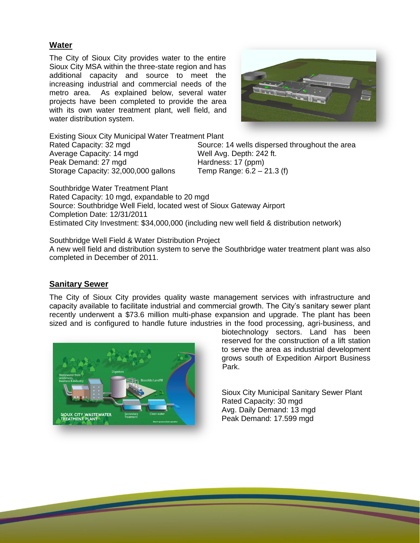#### **Water**

The City of Sioux City provides water to the entire Sioux City MSA within the three-state region and has additional capacity and source to meet the increasing industrial and commercial needs of the metro area. As explained below, several water projects have been completed to provide the area with its own water treatment plant, well field, and water distribution system.



Existing Sioux City Municipal Water Treatment Plant

Average Capacity: 14 mgd Well Avg. Depth: 242 ft. Peak Demand: 27 mgd Hardness: 17 (ppm) Storage Capacity: 32,000,000 gallons Temp Range: 6.2 – 21.3 (f)

Rated Capacity: 32 mgd Source: 14 wells dispersed throughout the area

Southbridge Water Treatment Plant Rated Capacity: 10 mgd, expandable to 20 mgd Source: Southbridge Well Field, located west of Sioux Gateway Airport Completion Date: 12/31/2011 Estimated City Investment: \$34,000,000 (including new well field & distribution network)

Southbridge Well Field & Water Distribution Project A new well field and distribution system to serve the Southbridge water treatment plant was also completed in December of 2011.

#### **Sanitary Sewer**

The City of Sioux City provides quality waste management services with infrastructure and capacity available to facilitate industrial and commercial growth. The City's sanitary sewer plant recently underwent a \$73.6 million multi-phase expansion and upgrade. The plant has been sized and is configured to handle future industries in the food processing, agri-business, and



biotechnology sectors. Land has been reserved for the construction of a lift station to serve the area as industrial development grows south of Expedition Airport Business Park.

Sioux City Municipal Sanitary Sewer Plant Rated Capacity: 30 mgd Avg. Daily Demand: 13 mgd Peak Demand: 17.599 mgd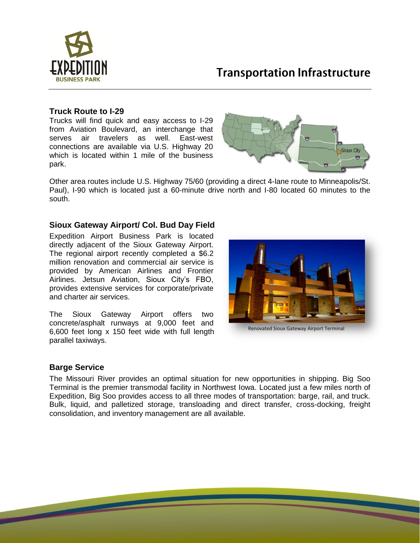

## **Transportation Infrastructure**

#### **Truck Route to I-29**

Trucks will find quick and easy access to I-29 from Aviation Boulevard, an interchange that serves air travelers as well. East-west connections are available via U.S. Highway 20 which is located within 1 mile of the business park.



Other area routes include U.S. Highway 75/60 (providing a direct 4-lane route to Minneapolis/St. Paul), I-90 which is located just a 60-minute drive north and I-80 located 60 minutes to the south.

#### **Sioux Gateway Airport/ Col. Bud Day Field**

Expedition Airport Business Park is located directly adjacent of the Sioux Gateway Airport. The regional airport recently completed a \$6.2 million renovation and commercial air service is provided by American Airlines and Frontier Airlines. Jetsun Aviation, Sioux City's FBO, provides extensive services for corporate/private and charter air services.

The Sioux Gateway Airport offers two concrete/asphalt runways at 9,000 feet and 6,600 feet long x 150 feet wide with full length parallel taxiways.



Renovated Sioux Gateway Airport Terminal

#### **Barge Service**

The Missouri River provides an optimal situation for new opportunities in shipping. Big Soo Terminal is the premier transmodal facility in Northwest Iowa. Located just a few miles north of Expedition, Big Soo provides access to all three modes of transportation: barge, rail, and truck. Bulk, liquid, and palletized storage, transloading and direct transfer, cross-docking, freight consolidation, and inventory management are all available.